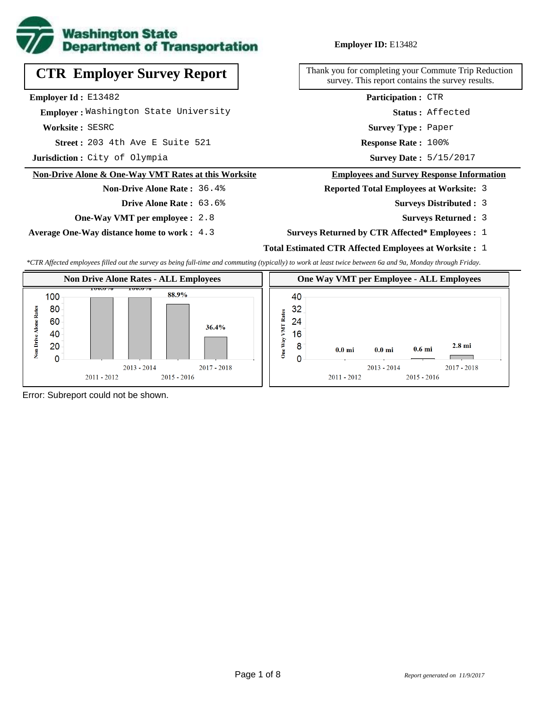

# **CTR Employer Survey Report**

**Employer Id :** E13482

 **Employer :** Washington State University

**Worksite :** SESRC

203 4th Ave E Suite 521 **Response Rate : Street :**

**Jurisdiction :** City of Olympia

#### **Non-Drive Alone & One-Way VMT Rates at this Worksite**

**Drive Alone Rate :** 63.6%

**Non-Drive Alone Rate :** 36.4%

**One-Way VMT per employee :** 2.8

**Average One-Way distance home to work :** 4.3

#### **Employer ID:** E13482

Thank you for completing your Commute Trip Reduction survey. This report contains the survey results.

> **Status :** Affected **Participation :** CTR

**Survey Type :** Paper

Response Rate: 100%

Survey Date: 5/15/2017

#### **Employees and Survey Response Information**

**Reported Total Employees at Worksite:** 3

- 3 **Surveys Distributed :**
	- **Surveys Returned :** 3
- **Surveys Returned by CTR Affected\* Employees :** 1

### **Total Estimated CTR Affected Employees at Worksite :** 1

*\*CTR Affected employees filled out the survey as being full-time and commuting (typically) to work at least twice between 6a and 9a, Monday through Friday.*



Error: Subreport could not be shown.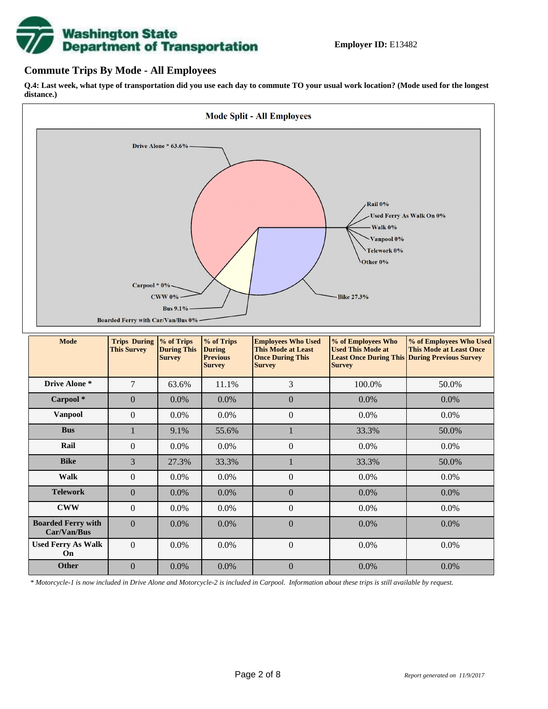

### **Commute Trips By Mode - All Employees**

**Q.4: Last week, what type of transportation did you use each day to commute TO your usual work location? (Mode used for the longest distance.)**



*\* Motorcycle-1 is now included in Drive Alone and Motorcycle-2 is included in Carpool. Information about these trips is still available by request.*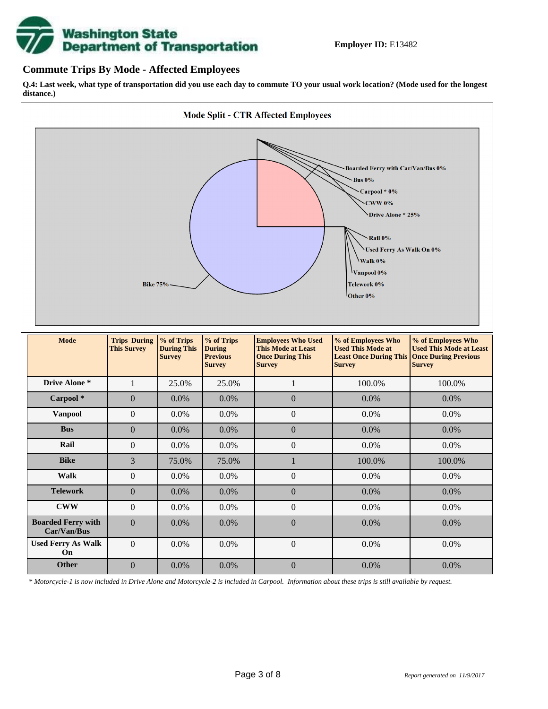

### **Commute Trips By Mode - Affected Employees**

**Q.4: Last week, what type of transportation did you use each day to commute TO your usual work location? (Mode used for the longest distance.)**



*\* Motorcycle-1 is now included in Drive Alone and Motorcycle-2 is included in Carpool. Information about these trips is still available by request.*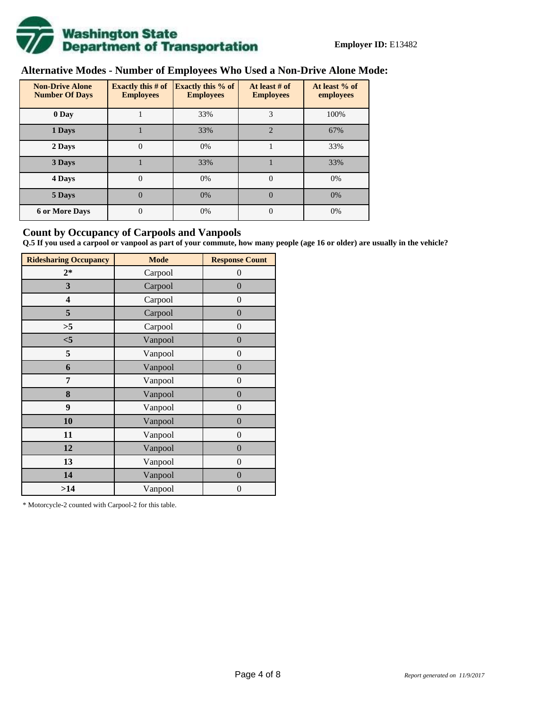

# **Alternative Modes - Number of Employees Who Used a Non-Drive Alone Mode:**

| <b>Non-Drive Alone</b><br><b>Number Of Days</b> | <b>Exactly this # of</b><br><b>Employees</b> | <b>Exactly this % of</b><br><b>Employees</b> | At least # of<br><b>Employees</b> | At least % of<br>employees |
|-------------------------------------------------|----------------------------------------------|----------------------------------------------|-----------------------------------|----------------------------|
| 0 Day                                           |                                              | 33%                                          | 3                                 | 100%                       |
| 1 Days                                          |                                              | 33%                                          | $\overline{2}$                    | 67%                        |
| 2 Days                                          | 0                                            | 0%                                           |                                   | 33%                        |
| 3 Days                                          |                                              | 33%                                          |                                   | 33%                        |
| 4 Days                                          | $\theta$                                     | 0%                                           | $\Omega$                          | 0%                         |
| 5 Days                                          | 0                                            | 0%                                           | $\theta$                          | 0%                         |
| <b>6 or More Days</b>                           | $\theta$                                     | 0%                                           | $\Omega$                          | 0%                         |

### **Count by Occupancy of Carpools and Vanpools**

**Q.5 If you used a carpool or vanpool as part of your commute, how many people (age 16 or older) are usually in the vehicle?**

| <b>Ridesharing Occupancy</b> | <b>Mode</b> | <b>Response Count</b> |
|------------------------------|-------------|-----------------------|
| $2*$                         | Carpool     | $\theta$              |
| 3                            | Carpool     | $\overline{0}$        |
| 4                            | Carpool     | $\theta$              |
| 5                            | Carpool     | $\overline{0}$        |
| >5                           | Carpool     | $\overline{0}$        |
| $<$ 5                        | Vanpool     | $\overline{0}$        |
| 5                            | Vanpool     | $\overline{0}$        |
| 6                            | Vanpool     | $\boldsymbol{0}$      |
| 7                            | Vanpool     | $\overline{0}$        |
| 8                            | Vanpool     | $\overline{0}$        |
| 9                            | Vanpool     | $\overline{0}$        |
| 10                           | Vanpool     | $\overline{0}$        |
| 11                           | Vanpool     | $\overline{0}$        |
| 12                           | Vanpool     | $\boldsymbol{0}$      |
| 13                           | Vanpool     | $\boldsymbol{0}$      |
| 14                           | Vanpool     | $\overline{0}$        |
| >14                          | Vanpool     | $\boldsymbol{0}$      |

\* Motorcycle-2 counted with Carpool-2 for this table.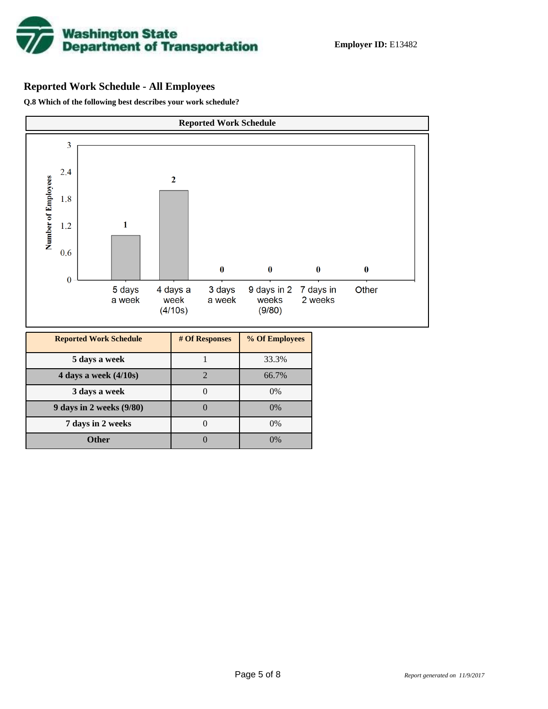

### **Reported Work Schedule - All Employees**

**Q.8 Which of the following best describes your work schedule?**

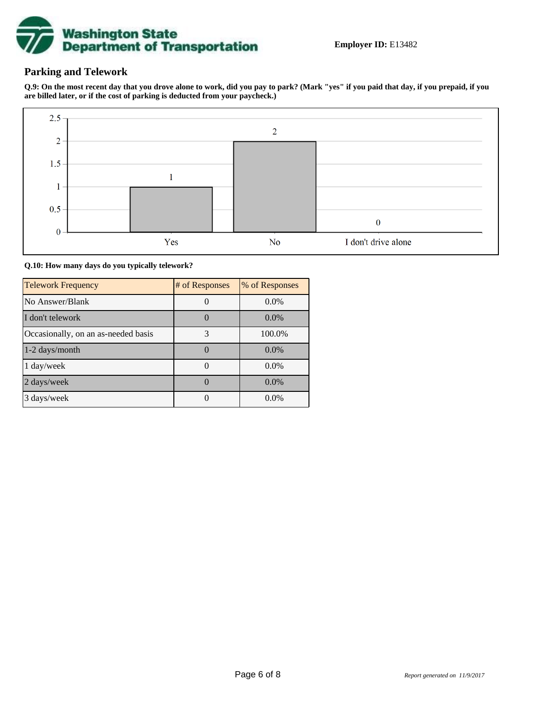

### **Parking and Telework**

**Q.9: On the most recent day that you drove alone to work, did you pay to park? (Mark "yes" if you paid that day, if you prepaid, if you are billed later, or if the cost of parking is deducted from your paycheck.)**



**Q.10: How many days do you typically telework?**

| <b>Telework Frequency</b>           | # of Responses | % of Responses |
|-------------------------------------|----------------|----------------|
| No Answer/Blank                     |                | $0.0\%$        |
| I don't telework                    |                | $0.0\%$        |
| Occasionally, on an as-needed basis | 3              | 100.0%         |
| 1-2 days/month                      |                | $0.0\%$        |
| 1 day/week                          |                | $0.0\%$        |
| 2 days/week                         |                | $0.0\%$        |
| 3 days/week                         |                | 0.0%           |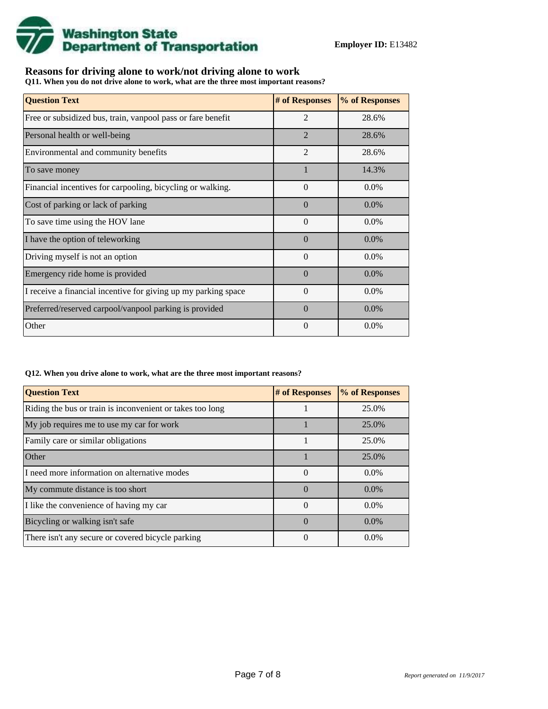

### **Reasons for driving alone to work/not driving alone to work**

**Q11. When you do not drive alone to work, what are the three most important reasons?**

| <b>Question Text</b>                                           | # of Responses | % of Responses |
|----------------------------------------------------------------|----------------|----------------|
| Free or subsidized bus, train, vanpool pass or fare benefit    | $\overline{2}$ | 28.6%          |
| Personal health or well-being                                  | $\overline{2}$ | 28.6%          |
| Environmental and community benefits                           | $\overline{2}$ | 28.6%          |
| To save money                                                  |                | 14.3%          |
| Financial incentives for carpooling, bicycling or walking.     | $\Omega$       | $0.0\%$        |
| Cost of parking or lack of parking                             | $\Omega$       | $0.0\%$        |
| To save time using the HOV lane                                | $\Omega$       | $0.0\%$        |
| I have the option of teleworking                               | $\Omega$       | $0.0\%$        |
| Driving myself is not an option                                | $\Omega$       | $0.0\%$        |
| Emergency ride home is provided                                | $\Omega$       | $0.0\%$        |
| I receive a financial incentive for giving up my parking space | $\Omega$       | $0.0\%$        |
| Preferred/reserved carpool/vanpool parking is provided         | $\Omega$       | $0.0\%$        |
| Other                                                          | $\theta$       | 0.0%           |

#### **Q12. When you drive alone to work, what are the three most important reasons?**

| <b>Question Text</b>                                      | # of Responses | % of Responses |
|-----------------------------------------------------------|----------------|----------------|
| Riding the bus or train is inconvenient or takes too long |                | 25.0%          |
| My job requires me to use my car for work                 |                | 25.0%          |
| Family care or similar obligations                        |                | 25.0%          |
| <b>Other</b>                                              |                | 25.0%          |
| I need more information on alternative modes              | $\Omega$       | $0.0\%$        |
| My commute distance is too short                          | $\Omega$       | $0.0\%$        |
| I like the convenience of having my car                   | $\Omega$       | $0.0\%$        |
| Bicycling or walking isn't safe                           | $\Omega$       | $0.0\%$        |
| There isn't any secure or covered bicycle parking         | $\Omega$       | $0.0\%$        |